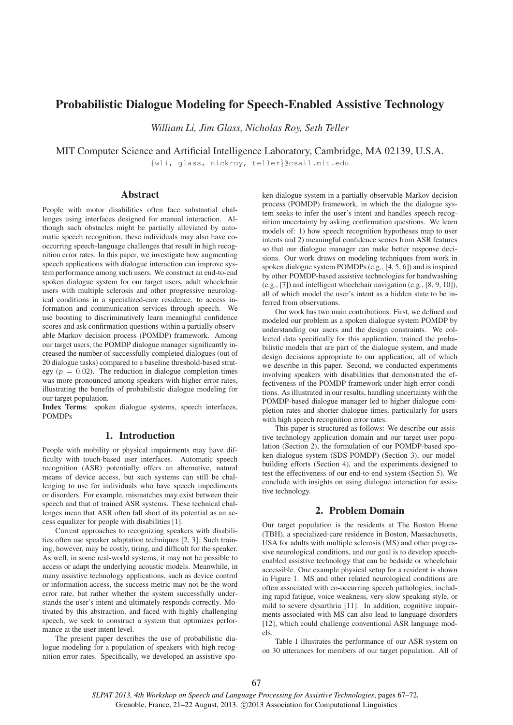# Probabilistic Dialogue Modeling for Speech-Enabled Assistive Technology

*William Li, Jim Glass, Nicholas Roy, Seth Teller*

MIT Computer Science and Artificial Intelligence Laboratory, Cambridge, MA 02139, U.S.A.

{wli, glass, nickroy, teller}@csail.mit.edu

## Abstract

People with motor disabilities often face substantial challenges using interfaces designed for manual interaction. Although such obstacles might be partially alleviated by automatic speech recognition, these individuals may also have cooccurring speech-language challenges that result in high recognition error rates. In this paper, we investigate how augmenting speech applications with dialogue interaction can improve system performance among such users. We construct an end-to-end spoken dialogue system for our target users, adult wheelchair users with multiple sclerosis and other progressive neurological conditions in a specialized-care residence, to access information and communication services through speech. We use boosting to discriminatively learn meaningful confidence scores and ask confirmation questions within a partially observable Markov decision process (POMDP) framework. Among our target users, the POMDP dialogue manager significantly increased the number of successfully completed dialogues (out of 20 dialogue tasks) compared to a baseline threshold-based strategy ( $p = 0.02$ ). The reduction in dialogue completion times was more pronounced among speakers with higher error rates, illustrating the benefits of probabilistic dialogue modeling for our target population.

Index Terms: spoken dialogue systems, speech interfaces, POMDPs

### 1. Introduction

People with mobility or physical impairments may have difficulty with touch-based user interfaces. Automatic speech recognition (ASR) potentially offers an alternative, natural means of device access, but such systems can still be challenging to use for individuals who have speech impediments or disorders. For example, mismatches may exist between their speech and that of trained ASR systems. These technical challenges mean that ASR often fall short of its potential as an access equalizer for people with disabilities [1].

Current approaches to recognizing speakers with disabilities often use speaker adaptation techniques [2, 3]. Such training, however, may be costly, tiring, and difficult for the speaker. As well, in some real-world systems, it may not be possible to access or adapt the underlying acoustic models. Meanwhile, in many assistive technology applications, such as device control or information access, the success metric may not be the word error rate, but rather whether the system successfully understands the user's intent and ultimately responds correctly. Motivated by this abstraction, and faced with highly challenging speech, we seek to construct a system that optimizes performance at the user intent level.

The present paper describes the use of probabilistic dialogue modeling for a population of speakers with high recognition error rates. Specifically, we developed an assistive spoken dialogue system in a partially observable Markov decision process (POMDP) framework, in which the the dialogue system seeks to infer the user's intent and handles speech recognition uncertainty by asking confirmation questions. We learn models of: 1) how speech recognition hypotheses map to user intents and 2) meaningful confidence scores from ASR features so that our dialogue manager can make better response decisions. Our work draws on modeling techniques from work in spoken dialogue system POMDPs (e.g., [4, 5, 6]) and is inspired by other POMDP-based assistive technologies for handwashing (e.g., [7]) and intelligent wheelchair navigation (e.g., [8, 9, 10]), all of which model the user's intent as a hidden state to be inferred from observations.

Our work has two main contributions. First, we defined and modeled our problem as a spoken dialogue system POMDP by understanding our users and the design constraints. We collected data specifically for this application, trained the probabilistic models that are part of the dialogue system, and made design decisions appropriate to our application, all of which we describe in this paper. Second, we conducted experiments involving speakers with disabilities that demonstrated the effectiveness of the POMDP framework under high-error conditions. As illustrated in our results, handling uncertainty with the POMDP-based dialogue manager led to higher dialogue completion rates and shorter dialogue times, particularly for users with high speech recognition error rates.

This paper is structured as follows: We describe our assistive technology application domain and our target user population (Section 2), the formulation of our POMDP-based spoken dialogue system (SDS-POMDP) (Section 3), our modelbuilding efforts (Section 4), and the experiments designed to test the effectiveness of our end-to-end system (Section 5). We conclude with insights on using dialogue interaction for assistive technology.

### 2. Problem Domain

Our target population is the residents at The Boston Home (TBH), a specialized-care residence in Boston, Massachusetts, USA for adults with multiple sclerosis (MS) and other progressive neurological conditions, and our goal is to develop speechenabled assistive technology that can be bedside or wheelchair accessible. One example physical setup for a resident is shown in Figure 1. MS and other related neurological conditions are often associated with co-occurring speech pathologies, including rapid fatigue, voice weakness, very slow speaking style, or mild to severe dysarthria [11]. In addition, cognitive impairments associated with MS can also lead to language disorders [12], which could challenge conventional ASR language models.

Table 1 illustrates the performance of our ASR system on on 30 utterances for members of our target population. All of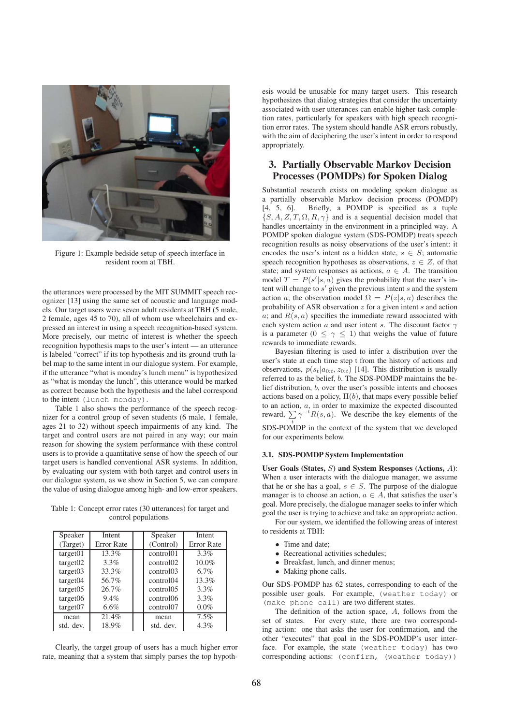

Figure 1: Example bedside setup of speech interface in resident room at TBH.

the utterances were processed by the MIT SUMMIT speech recognizer [13] using the same set of acoustic and language models. Our target users were seven adult residents at TBH (5 male, 2 female, ages 45 to 70), all of whom use wheelchairs and expressed an interest in using a speech recognition-based system. More precisely, our metric of interest is whether the speech recognition hypothesis maps to the user's intent — an utterance is labeled "correct" if its top hypothesis and its ground-truth label map to the same intent in our dialogue system. For example, if the utterance "what is monday's lunch menu" is hypothesized as "what is monday the lunch", this utterance would be marked as correct because both the hypothesis and the label correspond to the intent (lunch monday).

Table 1 also shows the performance of the speech recognizer for a control group of seven students (6 male, 1 female, ages 21 to 32) without speech impairments of any kind. The target and control users are not paired in any way; our main reason for showing the system performance with these control users is to provide a quantitative sense of how the speech of our target users is handled conventional ASR systems. In addition, by evaluating our system with both target and control users in our dialogue system, as we show in Section 5, we can compare the value of using dialogue among high- and low-error speakers.

Table 1: Concept error rates (30 utterances) for target and control populations

| Speaker   | Intent            | Speaker               | Intent     |
|-----------|-------------------|-----------------------|------------|
| (Target)  | <b>Error</b> Rate | (Control)             | Error Rate |
| target01  | 13.3%             | control01             | 3.3%       |
| target02  | 3.3%              | control02             | $10.0\%$   |
| target03  | 33.3%             | control <sub>03</sub> | 6.7%       |
| target04  | 56.7%             | control <sub>04</sub> | 13.3%      |
| target05  | 26.7%             | control <sub>05</sub> | 3.3%       |
| target06  | 9.4%              | control06             | 3.3%       |
| target07  | 6.6%              | control07             | $0.0\%$    |
| mean      | 21.4%             | mean                  | 7.5%       |
| std. dev. | 18.9%             | std. dev.             | 4.3%       |

Clearly, the target group of users has a much higher error rate, meaning that a system that simply parses the top hypothesis would be unusable for many target users. This research hypothesizes that dialog strategies that consider the uncertainty associated with user utterances can enable higher task completion rates, particularly for speakers with high speech recognition error rates. The system should handle ASR errors robustly, with the aim of deciphering the user's intent in order to respond appropriately.

## 3. Partially Observable Markov Decision Processes (POMDPs) for Spoken Dialog

Substantial research exists on modeling spoken dialogue as a partially observable Markov decision process (POMDP) [4, 5, 6]. Briefly, a POMDP is specified as a tuple Briefly, a POMDP is specified as a tuple  $\{S, A, Z, T, \Omega, R, \gamma\}$  and is a sequential decision model that handles uncertainty in the environment in a principled way. A POMDP spoken dialogue system (SDS-POMDP) treats speech recognition results as noisy observations of the user's intent: it encodes the user's intent as a hidden state,  $s \in S$ ; automatic speech recognition hypotheses as observations,  $z \in Z$ , of that state; and system responses as actions,  $a \in A$ . The transition model  $T = P(s'|s, a)$  gives the probability that the user's intent will change to  $s'$  given the previous intent  $s$  and the system action a; the observation model  $\Omega = P(z|s, a)$  describes the probability of ASR observation  $z$  for a given intent  $s$  and action  $a$ ; and  $R(s, a)$  specifies the immediate reward associated with each system action a and user intent s. The discount factor  $\gamma$ is a parameter ( $0 \leq \gamma \leq 1$ ) that weighs the value of future rewards to immediate rewards.

Bayesian filtering is used to infer a distribution over the user's state at each time step t from the history of actions and observations,  $p(s_t|a_{0:t}, z_{0:t})$  [14]. This distribution is usually referred to as the belief, b. The SDS-POMDP maintains the belief distribution, b, over the user's possible intents and chooses actions based on a policy,  $\Pi(b)$ , that maps every possible belief to an action, a, in order to maximize the expected discounted reward,  $\sum \gamma^{-t} R(s, a)$ . We describe the key elements of the SDS-POMDP in the context of the system that we developed for our experiments below.

#### 3.1. SDS-POMDP System Implementation

User Goals (States, S) and System Responses (Actions, A): When a user interacts with the dialogue manager, we assume that he or she has a goal,  $s \in S$ . The purpose of the dialogue manager is to choose an action,  $a \in A$ , that satisfies the user's goal. More precisely, the dialogue manager seeks to infer which goal the user is trying to achieve and take an appropriate action.

For our system, we identified the following areas of interest to residents at TBH:

- Time and date:
- Recreational activities schedules;
- Breakfast, lunch, and dinner menus;
- Making phone calls.

Our SDS-POMDP has 62 states, corresponding to each of the possible user goals. For example, (weather today) or (make phone call) are two different states.

The definition of the action space, A, follows from the set of states. For every state, there are two corresponding action: one that asks the user for confirmation, and the other "executes" that goal in the SDS-POMDP's user interface. For example, the state (weather today) has two corresponding actions: (confirm, (weather today))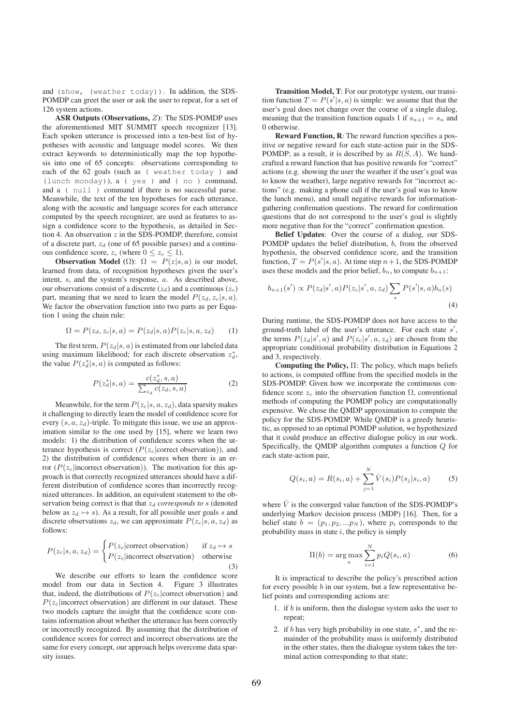and (show, (weather today)). In addition, the SDS-POMDP can greet the user or ask the user to repeat, for a set of 126 system actions.

ASR Outputs (Observations, Z): The SDS-POMDP uses the aforementioned MIT SUMMIT speech recognizer [13]. Each spoken utterance is processed into a ten-best list of hypotheses with acoustic and language model scores. We then extract keywords to deterministically map the top hypothesis into one of 65 concepts: observations corresponding to each of the 62 goals (such as ( weather today ) and (lunch monday)), a ( yes ) and ( no ) command, and a ( null ) command if there is no successful parse. Meanwhile, the text of the ten hypotheses for each utterance, along with the acoustic and language scores for each utterance computed by the speech recognizer, are used as features to assign a confidence score to the hypothesis, as detailed in Section 4. An observation  $z$  in the SDS-POMDP, therefore, consist of a discrete part,  $z_d$  (one of 65 possible parses) and a continuous confidence score,  $z_c$  (where  $0 \leq z_c \leq 1$ ).

**Observation Model** ( $\Omega$ ):  $\Omega = P(z|s, a)$  is our model, learned from data, of recognition hypotheses given the user's intent, s, and the system's response, a. As described above, our observations consist of a discrete  $(z_d)$  and a continuous  $(z_c)$ part, meaning that we need to learn the model  $P(z_d, z_c|s, a)$ . We factor the observation function into two parts as per Equation 1 using the chain rule:

$$
\Omega = P(z_d, z_c | s, a) = P(z_d | s, a) P(z_c | s, a, z_d)
$$
 (1)

The first term,  $P(z_d|s, a)$  is estimated from our labeled data using maximum likelihood; for each discrete observation  $z_d^*$ , the value  $P(z_d^*|s, a)$  is computed as follows:

$$
P(z_d^*|s, a) = \frac{c(z_d^*, s, a)}{\sum_{z_d} c(z_d, s, a)}
$$
(2)

Meanwhile, for the term  $P(z_c|s, a, z_d)$ , data sparsity makes it challenging to directly learn the model of confidence score for every  $(s, a, z_d)$ -triple. To mitigate this issue, we use an approximation similar to the one used by [15], where we learn two models: 1) the distribution of confidence scores when the utterance hypothesis is correct ( $P(z_c|\text{correct observation})$ ), and 2) the distribution of confidence scores when there is an error  $(P(z_c|incorrect\ observation))$ . The motivation for this approach is that correctly recognized utterances should have a different distribution of confidence scores than incorrectly recognized utterances. In addition, an equivalent statement to the observation being correct is that that  $z_d$  *corresponds to* s (denoted below as  $z_d \mapsto s$ ). As a result, for all possible user goals s and discrete observations  $z_d$ , we can approximate  $P(z_c|s, a, z_d)$  as follows:

$$
P(z_c|s, a, z_d) = \begin{cases} P(z_c|\text{correct observation}) & \text{if } z_d \mapsto s \\ P(z_c|\text{incorrect observation}) & \text{otherwise} \end{cases} \tag{3}
$$

We describe our efforts to learn the confidence score model from our data in Section 4. Figure 3 illustrates that, indeed, the distributions of  $P(z_c|\text{correct observation})$  and  $P(z_c|$ incorrect observation) are different in our dataset. These two models capture the insight that the confidence score contains information about whether the utterance has been correctly or incorrectly recognized. By assuming that the distribution of confidence scores for correct and incorrect observations are the same for every concept, our approach helps overcome data sparsity issues.

Transition Model, T: For our prototype system, our transition function  $T = P(s'|s, a)$  is simple: we assume that that the user's goal does not change over the course of a single dialog, meaning that the transition function equals 1 if  $s_{n+1} = s_n$  and 0 otherwise.

Reward Function, R: The reward function specifies a positive or negative reward for each state-action pair in the SDS-POMDP; as a result, it is described by as  $R(S, A)$ . We handcrafted a reward function that has positive rewards for "correct" actions (e.g. showing the user the weather if the user's goal was to know the weather), large negative rewards for "incorrect actions" (e.g. making a phone call if the user's goal was to know the lunch menu), and small negative rewards for informationgathering confirmation questions. The reward for confirmation questions that do not correspond to the user's goal is slightly more negative than for the "correct" confirmation question.

Belief Updates: Over the course of a dialog, our SDS-POMDP updates the belief distribution, b, from the observed hypothesis, the observed confidence score, and the transition function,  $T = P(s'|s, a)$ . At time step  $n+1$ , the SDS-POMDP uses these models and the prior belief,  $b_n$ , to compute  $b_{n+1}$ :

$$
b_{n+1}(s') \propto P(z_d|s',a)P(z_c|s',a,z_d) \sum_{s} P(s'|s,a) b_n(s)
$$
\n(4)

During runtime, the SDS-POMDP does not have access to the ground-truth label of the user's utterance. For each state  $s'$ , the terms  $P(z_a|s', a)$  and  $P(z_c|s', a, z_d)$  are chosen from the appropriate conditional probability distribution in Equations 2 and 3, respectively.

Computing the Policy, Π: The policy, which maps beliefs to actions, is computed offline from the specified models in the SDS-POMDP. Given how we incorporate the continuous confidence score  $z_c$  into the observation function  $\Omega$ , conventional methods of computing the POMDP policy are computationally expensive. We chose the QMDP approximation to compute the policy for the SDS-POMDP. While QMDP is a greedy heuristic, as opposed to an optimal POMDP solution, we hypothesized that it could produce an effective dialogue policy in our work. Specifically, the QMDP algorithm computes a function Q for each state-action pair,

$$
Q(s_i, a) = R(s_i, a) + \sum_{j=1}^{N} \hat{V}(s_i) P(s_j|s_i, a)
$$
 (5)

where  $\hat{V}$  is the converged value function of the SDS-POMDP's underlying Markov decision process (MDP) [16]. Then, for a belief state  $b = (p_1, p_2, ... p_N)$ , where  $p_i$  corresponds to the probability mass in state  $i$ , the policy is simply

$$
\Pi(b) = \underset{a}{\arg\max} \sum_{i=1}^{N} p_i Q(s_i, a)
$$
\n(6)

It is impractical to describe the policy's prescribed action for every possible  $b$  in our system, but a few representative belief points and corresponding actions are:

- 1. if  $b$  is uniform, then the dialogue system asks the user to repeat;
- 2. if b has very high probability in one state,  $s^*$ , and the remainder of the probability mass is uniformly distributed in the other states, then the dialogue system takes the terminal action corresponding to that state;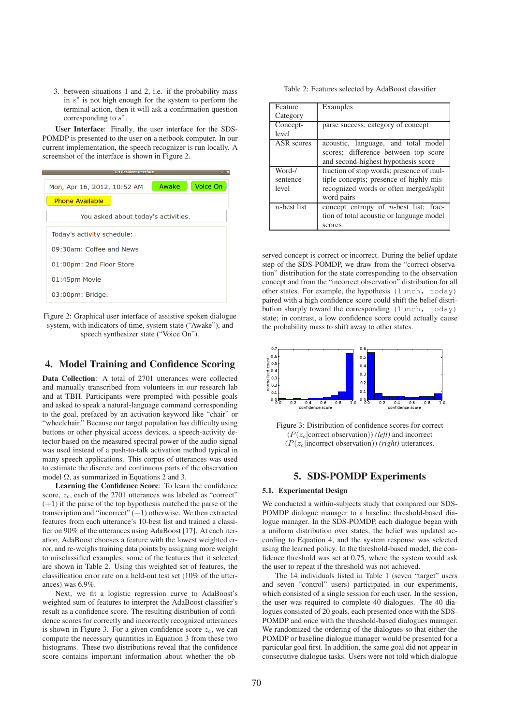3. between situations 1 and 2, i.e. if the probability mass in  $s^*$  is not high enough for the system to perform the terminal action, then it will ask a confirmation question corresponding to  $s^*$ .

User Interface: Finally, the user interface for the SDS-POMDP is presented to the user on a netbook computer. In our current implementation, the speech recognizer is run locally. A screenshot of the interface is shown in Figure 2.

| <b>TBH Resident Interface</b><br>$-  X$ |  |       |          |  |
|-----------------------------------------|--|-------|----------|--|
| Mon, Apr 16, 2012, 10:52 AM             |  | Awake | Voice On |  |
| <b>Phone Available</b>                  |  |       |          |  |
| You asked about today's activities.     |  |       |          |  |
| Today's activity schedule:              |  |       |          |  |
| 09:30am: Coffee and News                |  |       |          |  |
| 01:00pm: 2nd Floor Store                |  |       |          |  |
| 01:45pm Movie                           |  |       |          |  |
| 03:00pm: Bridge.                        |  |       |          |  |
|                                         |  |       |          |  |

Figure 2: Graphical user interface of assistive spoken dialogue system, with indicators of time, system state ("Awake"), and speech synthesizer state ("Voice On").

## 4. Model Training and Confidence Scoring

Data Collection: A total of 2701 utterances were collected and manually transcribed from volunteers in our research lab and at TBH. Participants were prompted with possible goals and asked to speak a natural-language command corresponding to the goal, prefaced by an activation keyword like "chair" or "wheelchair." Because our target population has difficulty using buttons or other physical access devices, a speech-activity detector based on the measured spectral power of the audio signal was used instead of a push-to-talk activation method typical in many speech applications. This corpus of utterances was used to estimate the discrete and continuous parts of the observation model Ω, as summarized in Equations 2 and 3.

Learning the Confidence Score: To learn the confidence score,  $z_c$ , each of the 2701 utterances was labeled as "correct" (+1) if the parse of the top hypothesis matched the parse of the transcription and "incorrect" (−1) otherwise. We then extracted features from each utterance's 10-best list and trained a classifier on 90% of the utterances using AdaBoost [17]. At each iteration, AdaBoost chooses a feature with the lowest weighted error, and re-weighs training data points by assigning more weight to misclassified examples; some of the features that it selected are shown in Table 2. Using this weighted set of features, the classification error rate on a held-out test set (10% of the utterances) was 6.9%.

Next, we fit a logistic regression curve to AdaBoost's weighted sum of features to interpret the AdaBoost classifier's result as a confidence score. The resulting distribution of confidence scores for correctly and incorrectly recognized utterances is shown in Figure 3. For a given confidence score  $z_c$ , we can compute the necessary quantities in Equation 3 from these two histograms. These two distributions reveal that the confidence score contains important information about whether the ob-

Table 2: Features selected by AdaBoost classifier

| Feature        | Examples                                 |  |
|----------------|------------------------------------------|--|
|                |                                          |  |
| Category       |                                          |  |
| Concept-       | parse success; category of concept       |  |
| level          |                                          |  |
| ASR scores     | acoustic, language, and total model      |  |
|                | scores; difference between top score     |  |
|                | and second-highest hypothesis score      |  |
| Word-/         | fraction of stop words; presence of mul- |  |
| sentence-      | tiple concepts; presence of highly mis-  |  |
| level          | recognized words or often merged/split   |  |
|                | word pairs                               |  |
| $n$ -best list | concept entropy of n-best list; frac-    |  |
|                | tion of total acoustic or language model |  |
|                | scores                                   |  |

served concept is correct or incorrect. During the belief update step of the SDS-POMDP, we draw from the "correct observation" distribution for the state corresponding to the observation concept and from the "incorrect observation" distribution for all other states. For example, the hypothesis (lunch, today) paired with a high confidence score could shift the belief distribution sharply toward the corresponding (lunch, today) state; in contrast, a low confidence score could actually cause the probability mass to shift away to other states.



Figure 3: Distribution of confidence scores for correct  $(P(z_c|\text{correct observation}))$  *(left)* and incorrect (P(zc|incorrect observation)) *(right)* utterances.

### 5. SDS-POMDP Experiments

#### 5.1. Experimental Design

We conducted a within-subjects study that compared our SDS-POMDP dialogue manager to a baseline threshold-based dialogue manager. In the SDS-POMDP, each dialogue began with a uniform distribution over states, the belief was updated according to Equation 4, and the system response was selected using the learned policy. In the threshold-based model, the confidence threshold was set at 0.75, where the system would ask the user to repeat if the threshold was not achieved.

The 14 individuals listed in Table 1 (seven "target" users and seven "control" users) participated in our experiments, which consisted of a single session for each user. In the session, the user was required to complete 40 dialogues. The 40 dialogues consisted of 20 goals, each presented once with the SDS-POMDP and once with the threshold-based dialogues manager. We randomized the ordering of the dialogues so that either the POMDP or baseline dialogue manager would be presented for a particular goal first. In addition, the same goal did not appear in consecutive dialogue tasks. Users were not told which dialogue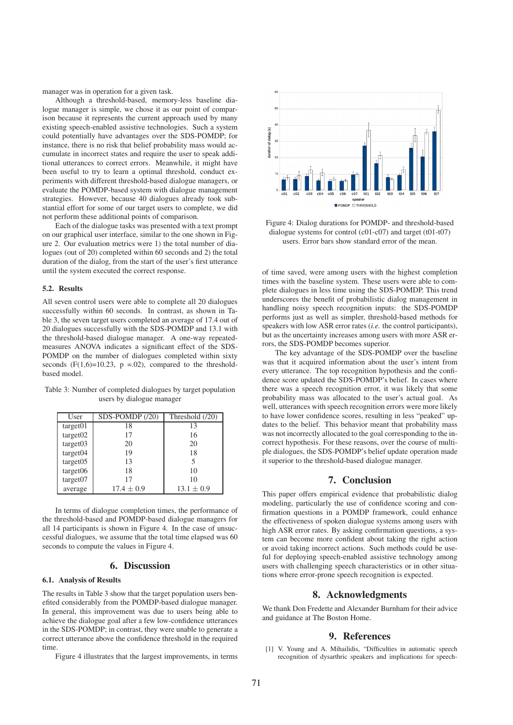manager was in operation for a given task.

Although a threshold-based, memory-less baseline dialogue manager is simple, we chose it as our point of comparison because it represents the current approach used by many existing speech-enabled assistive technologies. Such a system could potentially have advantages over the SDS-POMDP; for instance, there is no risk that belief probability mass would accumulate in incorrect states and require the user to speak additional utterances to correct errors. Meanwhile, it might have been useful to try to learn a optimal threshold, conduct experiments with different threshold-based dialogue managers, or evaluate the POMDP-based system with dialogue management strategies. However, because 40 dialogues already took substantial effort for some of our target users to complete, we did not perform these additional points of comparison.

Each of the dialogue tasks was presented with a text prompt on our graphical user interface, similar to the one shown in Figure 2. Our evaluation metrics were 1) the total number of dialogues (out of 20) completed within 60 seconds and 2) the total duration of the dialog, from the start of the user's first utterance until the system executed the correct response.

#### 5.2. Results

All seven control users were able to complete all 20 dialogues successfully within 60 seconds. In contrast, as shown in Table 3, the seven target users completed an average of 17.4 out of 20 dialogues successfully with the SDS-POMDP and 13.1 with the threshold-based dialogue manager. A one-way repeatedmeasures ANOVA indicates a significant effect of the SDS-POMDP on the number of dialogues completed within sixty seconds  $(F(1,6)=10.23, p = .02)$ , compared to the thresholdbased model.

Table 3: Number of completed dialogues by target population users by dialogue manager

| User                 | $SDS-POMDP(20)$ | Threshold (/20) |
|----------------------|-----------------|-----------------|
| target01             | 18              | 13              |
| target02             | 17              | 16              |
| target03             | 20              | 20              |
| target <sub>04</sub> | 19              | 18              |
| target05             | 13              | 5               |
| target06             | 18              | 10              |
| target <sub>07</sub> | 17              | 10              |
| average              | $17.4 \pm 0.9$  | $13.1 \pm 0.9$  |

In terms of dialogue completion times, the performance of the threshold-based and POMDP-based dialogue managers for all 14 participants is shown in Figure 4. In the case of unsuccessful dialogues, we assume that the total time elapsed was 60 seconds to compute the values in Figure 4.

## 6. Discussion

#### 6.1. Analysis of Results

The results in Table 3 show that the target population users benefited considerably from the POMDP-based dialogue manager. In general, this improvement was due to users being able to achieve the dialogue goal after a few low-confidence utterances in the SDS-POMDP; in contrast, they were unable to generate a correct utterance above the confidence threshold in the required time.

Figure 4 illustrates that the largest improvements, in terms



Figure 4: Dialog durations for POMDP- and threshold-based dialogue systems for control (c01-c07) and target (t01-t07) users. Error bars show standard error of the mean.

of time saved, were among users with the highest completion times with the baseline system. These users were able to complete dialogues in less time using the SDS-POMDP. This trend underscores the benefit of probabilistic dialog management in handling noisy speech recognition inputs: the SDS-POMDP performs just as well as simpler, threshold-based methods for speakers with low ASR error rates (*i.e.* the control participants), but as the uncertainty increases among users with more ASR errors, the SDS-POMDP becomes superior.

The key advantage of the SDS-POMDP over the baseline was that it acquired information about the user's intent from every utterance. The top recognition hypothesis and the confidence score updated the SDS-POMDP's belief. In cases where there was a speech recognition error, it was likely that some probability mass was allocated to the user's actual goal. As well, utterances with speech recognition errors were more likely to have lower confidence scores, resulting in less "peaked" updates to the belief. This behavior meant that probability mass was not incorrectly allocated to the goal corresponding to the incorrect hypothesis. For these reasons, over the course of multiple dialogues, the SDS-POMDP's belief update operation made it superior to the threshold-based dialogue manager.

### 7. Conclusion

This paper offers empirical evidence that probabilistic dialog modeling, particularly the use of confidence scoring and confirmation questions in a POMDP framework, could enhance the effectiveness of spoken dialogue systems among users with high ASR error rates. By asking confirmation questions, a system can become more confident about taking the right action or avoid taking incorrect actions. Such methods could be useful for deploying speech-enabled assistive technology among users with challenging speech characteristics or in other situations where error-prone speech recognition is expected.

### 8. Acknowledgments

We thank Don Fredette and Alexander Burnham for their advice and guidance at The Boston Home.

### 9. References

[1] V. Young and A. Mihailidis, "Difficulties in automatic speech recognition of dysarthric speakers and implications for speech